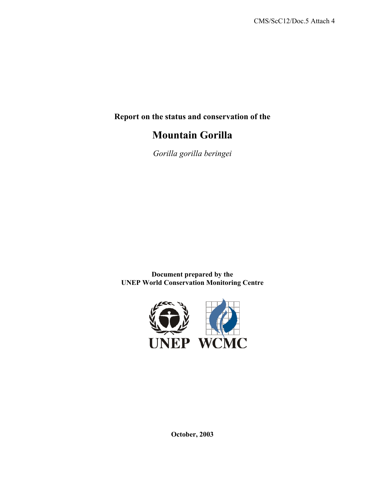**Report on the status and conservation of the** 

# **Mountain Gorilla**

*Gorilla gorilla beringei* 

**Document prepared by the UNEP World Conservation Monitoring Centre** 



**October, 2003**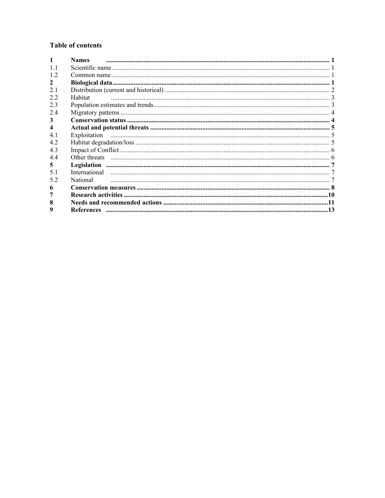# **Table of contents**

|     | <b>Names</b>  |  |
|-----|---------------|--|
| 11  |               |  |
| 1.2 |               |  |
| 2   |               |  |
| 21  |               |  |
| 2.2 | Habitat       |  |
| 2.3 |               |  |
| 2.4 |               |  |
| 3   |               |  |
|     |               |  |
| 4.1 |               |  |
| 4.2 |               |  |
| 4.3 |               |  |
| 4.4 |               |  |
| 5   |               |  |
| 51  | International |  |
| 52  | National      |  |
| 6   |               |  |
|     |               |  |
| 8   |               |  |
| 9   |               |  |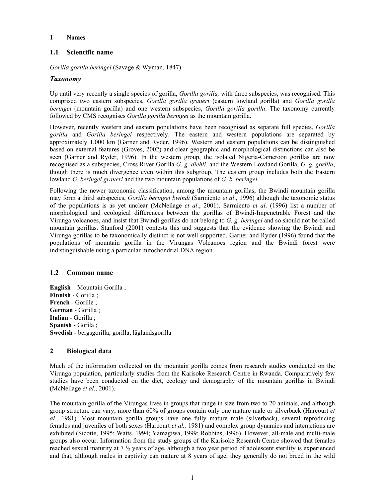#### **1 Names**

# **1.1 Scientific name**

*Gorilla gorilla beringei* (Savage & Wyman, 1847)

## *Taxonomy*

Up until very recently a single species of gorilla, *Gorilla gorilla,* with three subspecies, was recognised. This comprised two eastern subspecies, *Gorilla gorilla graueri* (eastern lowland gorilla) and *Gorilla gorilla beringei* (mountain gorilla) and one western subspecies, *Gorilla gorilla gorilla*. The taxonomy currently followed by CMS recognises *Gorilla gorilla beringei* as the mountain gorilla.

However, recently western and eastern populations have been recognised as separate full species, *Gorilla gorilla* and *Gorilla beringei* respectively. The eastern and western populations are separated by approximately 1,000 km (Garner and Ryder, 1996). Western and eastern populations can be distinguished based on external features (Groves, 2002) and clear geographic and morphological distinctions can also be seen (Garner and Ryder, 1996). In the western group, the isolated Nigeria-Cameroon gorillas are now recognised as a subspecies, Cross River Gorilla *G. g. diehli*, and the Western Lowland Gorilla, *G. g. gorilla*, though there is much divergence even within this subgroup. The eastern group includes both the Eastern lowland *G. beringei graueri* and the two mountain populations of *G. b. beringei*.

Following the newer taxonomic classification, among the mountain gorillas, the Bwindi mountain gorilla may form a third subspecies, *Gorilla beringei bwindi* (Sarmiento *et al*., 1996) although the taxonomic status of the populations is as yet unclear (McNeilage *et al*., 2001). Sarmiento *et al*. (1996) list a number of morphological and ecological differences between the gorillas of Bwindi-Impenetrable Forest and the Virunga volcanoes, and insist that Bwindi gorillas do not belong to *G. g. beringei* and so should not be called mountain gorillas. Stanford (2001) contests this and suggests that the evidence showing the Bwindi and Virunga gorillas to be taxonomically distinct is not well supported. Garner and Ryder (1996) found that the populations of mountain gorilla in the Virungas Volcanoes region and the Bwindi forest were indistinguishable using a particular mitochondrial DNA region.

## **1.2 Common name**

**English** – Mountain Gorilla ; **Finnish** - Gorilla ; **French** - Gorille ; **German** - Gorilla ; **Italian** - Gorilla ; **Spanish** - Gorila ; **Swedish** - bergsgorilla; gorilla; låglandsgorilla

# **2 Biological data**

Much of the information collected on the mountain gorilla comes from research studies conducted on the Virunga population, particularly studies from the Karisoke Research Centre in Rwanda. Comparatively few studies have been conducted on the diet, ecology and demography of the mountain gorillas in Bwindi (McNeilage *et al*., 2001).

The mountain gorilla of the Virungas lives in groups that range in size from two to 20 animals, and although group structure can vary, more than 60% of groups contain only one mature male or silverback (Harcourt *et al.,* 1981). Most mountain gorilla groups have one fully mature male (silverback), several reproducing females and juveniles of both sexes (Harcourt *et al.,* 1981) and complex group dynamics and interactions are exhibited (Sicotte, 1995; Watts, 1994; Yamagiwa, 1999; Robbins, 1996). However, all-male and multi-male groups also occur. Information from the study groups of the Karisoke Research Centre showed that females reached sexual maturity at 7 ½ years of age, although a two year period of adolescent sterility is experienced and that, although males in captivity can mature at 8 years of age, they generally do not breed in the wild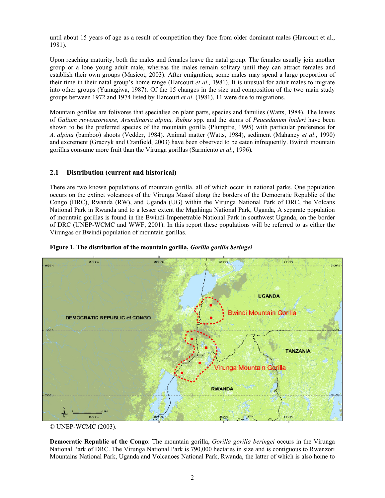until about 15 years of age as a result of competition they face from older dominant males (Harcourt et al., 1981).

Upon reaching maturity, both the males and females leave the natal group. The females usually join another group or a lone young adult male, whereas the males remain solitary until they can attract females and establish their own groups (Masicot, 2003). After emigration, some males may spend a large proportion of their time in their natal group's home range (Harcourt *et al.,* 1981). It is unusual for adult males to migrate into other groups (Yamagiwa, 1987). Of the 15 changes in the size and composition of the two main study groups between 1972 and 1974 listed by Harcourt *et al*. (1981), 11 were due to migrations.

Mountain gorillas are folivores that specialise on plant parts, species and families (Watts, 1984). The leaves of *Galium ruwenzoriense, Arundinaria alpina, Rubus* spp. and the stems of *Peucedanum linderi* have been shown to be the preferred species of the mountain gorilla (Plumptre, 1995) with particular preference for *A. alpina* (bamboo) shoots (Vedder, 1984). Animal matter (Watts, 1984), sediment (Mahaney *et al*., 1990) and excrement (Graczyk and Cranfield, 2003) have been observed to be eaten infrequently. Bwindi mountain gorillas consume more fruit than the Virunga gorillas (Sarmiento *et al*., 1996)*.*

# **2.1 Distribution (current and historical)**

There are two known populations of mountain gorilla, all of which occur in national parks. One population occurs on the extinct volcanoes of the Virunga Massif along the borders of the Democratic Republic of the Congo (DRC), Rwanda (RW), and Uganda (UG) within the Virunga National Park of DRC, the Volcans National Park in Rwanda and to a lesser extent the Mgahinga National Park, Uganda, A separate population of mountain gorillas is found in the Bwindi-Impenetrable National Park in southwest Uganda, on the border of DRC (UNEP-WCMC and WWF, 2001). In this report these populations will be referred to as either the Virungas or Bwindi population of mountain gorillas.





**Democratic Republic of the Congo**: The mountain gorilla, *Gorilla gorilla beringei* occurs in the Virunga National Park of DRC. The Virunga National Park is 790,000 hectares in size and is contiguous to Rwenzori Mountains National Park, Uganda and Volcanoes National Park, Rwanda, the latter of which is also home to

<sup>©</sup> UNEP-WCMC (2003).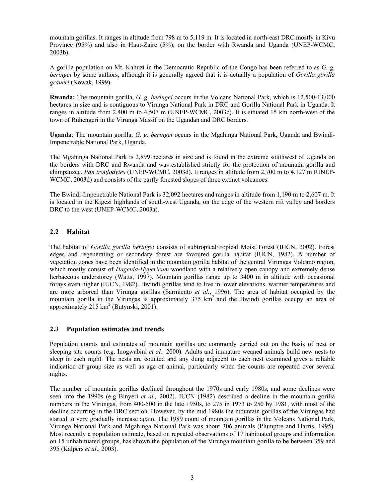mountain gorillas. It ranges in altitude from 798 m to 5,119 m. It is located in north-east DRC mostly in Kivu Province (95%) and also in Haut-Zaire (5%), on the border with Rwanda and Uganda (UNEP-WCMC, 2003b).

A gorilla population on Mt. Kahuzi in the Democratic Republic of the Congo has been referred to as *G. g. beringei* by some authors, although it is generally agreed that it is actually a population of *Gorilla gorilla graueri* (Nowak, 1999).

**Rwanda:** The mountain gorilla, *G. g. beringei* occurs in the Volcans National Park, which is 12,500-13,000 hectares in size and is contiguous to Virunga National Park in DRC and Gorilla National Park in Uganda. It ranges in altitude from 2,400 m to 4,507 m (UNEP-WCMC, 2003c). It is situated 15 km north-west of the town of Ruhengeri in the Virunga Massif on the Ugandan and DRC borders.

**Uganda**: The mountain gorilla, *G. g. beringei* occurs in the Mgahinga National Park, Uganda and Bwindi-Impenetrable National Park, Uganda.

The Mgahinga National Park is 2,899 hectares in size and is found in the extreme southwest of Uganda on the borders with DRC and Rwanda and was established strictly for the protection of mountain gorilla and chimpanzee, *Pan troglodytes* (UNEP-WCMC, 2003d). It ranges in altitude from 2,700 m to 4,127 m (UNEP-WCMC, 2003d) and consists of the partly forested slopes of three extinct volcanoes.

The Bwindi-Impenetrable National Park is 32,092 hectares and ranges in altitude from 1,190 m to 2,607 m. It is located in the Kigezi highlands of south-west Uganda, on the edge of the western rift valley and borders DRC to the west (UNEP-WCMC, 2003a).

## **2.2 Habitat**

The habitat of *Gorilla gorilla beringei* consists of subtropical/tropical Moist Forest (IUCN, 2002). Forest edges and regenerating or secondary forest are favoured gorilla habitat (IUCN, 1982). A number of vegetation zones have been identified in the mountain gorilla habitat of the central Virungas Volcano region, which mostly consist of *Hagenia*-*Hypericum* woodland with a relatively open canopy and extremely dense herbaceous understorey (Watts, 1997). Mountain gorillas range up to 3400 m in altitude with occasional forays even higher (IUCN, 1982). Bwindi gorillas tend to live in lower elevations, warmer temperatures and are more arboreal than Virunga gorillas (Sarmiento *et al*., 1996). The area of habitat occupied by the mountain gorilla in the Virungas is approximately  $375 \text{ km}^2$  and the Bwindi gorillas occupy an area of approximately  $215 \text{ km}^2$  (Butynski, 2001).

#### **2.3 Population estimates and trends**

Population counts and estimates of mountain gorillas are commonly carried out on the basis of nest or sleeping site counts (e.g. Inogwabini *et al.,* 2000). Adults and immature weaned animals build new nests to sleep in each night. The nests are counted and any dung adjacent to each nest examined gives a reliable indication of group size as well as age of animal, particularly when the counts are repeated over several nights.

The number of mountain gorillas declined throughout the 1970s and early 1980s, and some declines were seen into the 1990s (e.g Binyeri *et al.,* 2002). IUCN (1982) described a decline in the mountain gorilla numbers in the Virungas, from 400-500 in the late 1950s, to 275 in 1973 to 250 by 1981, with most of the decline occurring in the DRC section. However, by the mid 1980s the mountain gorillas of the Virungas had started to very gradually increase again. The 1989 count of mountain gorillas in the Volcans National Park, Virunga National Park and Mgahinga National Park was about 306 animals (Plumptre and Harris, 1995). Most recently a population estimate, based on repeated observations of 17 habituated groups and information on 15 unhabituated groups, has shown the population of the Virunga mountain gorilla to be between 359 and 395 (Kalpers *et al*., 2003).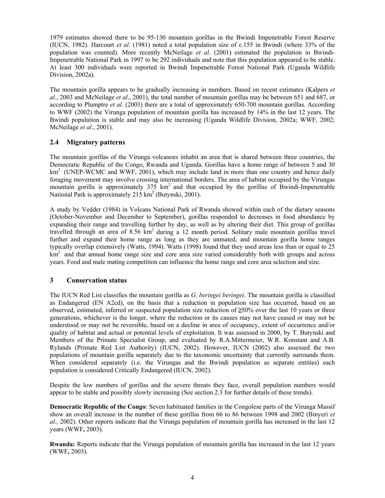1979 estimates showed there to be 95-130 mountain gorillas in the Bwindi Impenetrable Forest Reserve (IUCN, 1982). Harcourt *et al*. (1981) noted a total population size of c.155 in Bwindi (where 33% of the population was counted). More recently McNeilage *et al*. (2001) estimated the population in Bwindi-Impenetrable National Park in 1997 to be 292 individuals and note that this population appeared to be stable. At least 300 individuals were reported in Bwindi Impenetrable Forest National Park (Uganda Wildlife Division, 2002a).

The mountain gorilla appears to be gradually increasing in numbers. Based on recent estimates (Kalpers *et al*., 2003 and McNeilage *et al*., 2001), the total number of mountain gorillas may be between 651 and 687, or according to Plumptre *et al.* (2003) there are a total of approximately 650-700 mountain gorillas. According to WWF (2002) the Virunga population of mountain gorilla has increased by 14% in the last 12 years. The Bwindi population is stable and may also be increasing (Uganda Wildlife Division, 2002a; WWF, 2002; McNeilage *et al*., 2001).

# **2.4 Migratory patterns**

The mountain gorillas of the Virunga volcanoes inhabit an area that is shared between three countries, the Democratic Republic of the Congo, Rwanda and Uganda. Gorillas have a home range of between 5 and 30  $km<sup>2</sup>$  (UNEP-WCMC and WWF, 2001), which may include land in more than one country and hence daily foraging movement may involve crossing international borders. The area of habitat occupied by the Virungas mountain gorilla is approximately  $375 \text{ km}^2$  and that occupied by the gorillas of Bwindi-Impenetrable National Park is approximately  $215 \text{ km}^2$  (Butynski, 2001).

A study by Vedder (1984) in Volcans National Park of Rwanda showed within each of the dietary seasons (October-November and December to September), gorillas responded to decreases in food abundance by expanding their range and travelling further by day, as well as by altering their diet. This group of gorillas travelled through an area of 8.56 km<sup>2</sup> during a 12 month period. Solitary male mountain gorillas travel further and expand their home range as long as they are unmated, and mountain gorilla home ranges typically overlap extensively (Watts, 1994). Watts (1998) found that they used areas less than or equal to 25 km<sup>2</sup> and that annual home range size and core area size varied considerably both with groups and across years. Food and male mating competition can influence the home range and core area selection and size.

# **3 Conservation status**

The IUCN Red List classifies the mountain gorilla as *G. beringei beringei*. The mountain gorilla is classified as Endangered (EN A2cd), on the basis that a reduction in population size has occurred, based on an observed, estimated, inferred or suspected population size reduction of  $\geq 50\%$  over the last 10 years or three generations, whichever is the longer, where the reduction or its causes may not have ceased or may not be understood or may not be reversible, based on a decline in area of occupancy, extent of occurrence and/or quality of habitat and actual or potential levels of exploitation. It was assessed in 2000, by T. Butynski and Members of the Primate Specialist Group, and evaluated by R.A.Mittermeier, W.R. Konstant and A.B. Rylands (Primate Red List Authority) (IUCN, 2002). However, IUCN (2002) also assessed the two populations of mountain gorilla separately due to the taxonomic uncertainty that currently surrounds them. When considered separately (i.e. the Virungas and the Bwindi population as separate entities) each population is considered Critically Endangered (IUCN, 2002).

Despite the low numbers of gorillas and the severe threats they face, overall population numbers would appear to be stable and possibly slowly increasing (See section 2.3 for further details of these trends).

**Democratic Republic of the Congo**: Seven habituated families in the Congolese parts of the Virunga Massif show an overall increase in the number of these gorillas from 66 to 86 between 1998 and 2002 (Binyeri *et al.,* 2002). Other reports indicate that the Virunga population of mountain gorilla has increased in the last 12 years (WWF**,** 2003).

**Rwanda:** Reports indicate that the Virunga population of mountain gorilla has increased in the last 12 years (WWF**,** 2003).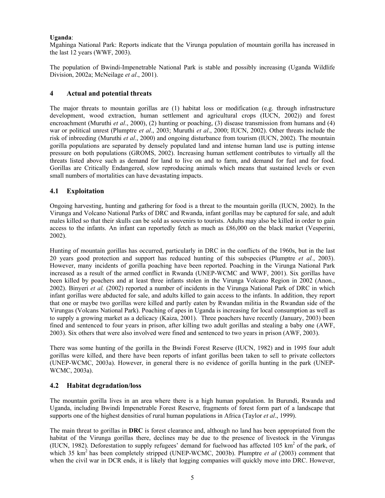#### **Uganda**:

Mgahinga National Park: Reports indicate that the Virunga population of mountain gorilla has increased in the last 12 years (WWF, 2003).

The population of Bwindi-Impenetrable National Park is stable and possibly increasing (Uganda Wildlife Division, 2002a; McNeilage *et al*., 2001).

## **4 Actual and potential threats**

The major threats to mountain gorillas are (1) habitat loss or modification (e.g. through infrastructure development, wood extraction, human settlement and agricultural crops (IUCN, 2002)) and forest encroachment (Muruthi *et al*., 2000), (2) hunting or poaching, (3) disease transmission from humans and (4) war or political unrest (Plumptre *et al*., 2003; Muruthi *et al*., 2000; IUCN, 2002). Other threats include the risk of inbreeding (Muruthi *et al*., 2000) and ongoing disturbance from tourism (IUCN, 2002). The mountain gorilla populations are separated by densely populated land and intense human land use is putting intense pressure on both populations (GROMS, 2002). Increasing human settlement contributes to virtually all the threats listed above such as demand for land to live on and to farm, and demand for fuel and for food. Gorillas are Critically Endangered, slow reproducing animals which means that sustained levels or even small numbers of mortalities can have devastating impacts.

## **4.1 Exploitation**

Ongoing harvesting, hunting and gathering for food is a threat to the mountain gorilla (IUCN, 2002). In the Virunga and Volcano National Parks of DRC and Rwanda, infant gorillas may be captured for sale, and adult males killed so that their skulls can be sold as souvenirs to tourists. Adults may also be killed in order to gain access to the infants. An infant can reportedly fetch as much as £86,000 on the black market (Vesperini, 2002).

Hunting of mountain gorillas has occurred, particularly in DRC in the conflicts of the 1960s, but in the last 20 years good protection and support has reduced hunting of this subspecies (Plumptre *et al.*, 2003). However, many incidents of gorilla poaching have been reported. Poaching in the Virunga National Park increased as a result of the armed conflict in Rwanda (UNEP-WCMC and WWF, 2001). Six gorillas have been killed by poachers and at least three infants stolen in the Virunga Volcano Region in 2002 (Anon., 2002). Binyeri *et al.* (2002) reported a number of incidents in the Virunga National Park of DRC in which infant gorillas were abducted for sale, and adults killed to gain access to the infants. In addition, they report that one or maybe two gorillas were killed and partly eaten by Rwandan militia in the Rwandan side of the Virungas (Volcans National Park). Poaching of apes in Uganda is increasing for local consumption as well as to supply a growing market as a delicacy (Kaiza, 2001). Three poachers have recently (January, 2003) been fined and sentenced to four years in prison, after killing two adult gorillas and stealing a baby one (AWF, 2003). Six others that were also involved were fined and sentenced to two years in prison (AWF, 2003).

There was some hunting of the gorilla in the Bwindi Forest Reserve (IUCN, 1982) and in 1995 four adult gorillas were killed, and there have been reports of infant gorillas been taken to sell to private collectors (UNEP-WCMC, 2003a). However, in general there is no evidence of gorilla hunting in the park (UNEP-WCMC, 2003a).

## **4.2 Habitat degradation/loss**

The mountain gorilla lives in an area where there is a high human population. In Burundi, Rwanda and Uganda, including Bwindi Impenetrable Forest Reserve, fragments of forest form part of a landscape that supports one of the highest densities of rural human populations in Africa (Taylor *et al*., 1999).

The main threat to gorillas in **DRC** is forest clearance and, although no land has been appropriated from the habitat of the Virunga gorillas there, declines may be due to the presence of livestock in the Virungas (IUCN, 1982). Deforestation to supply refugees' demand for fuelwood has affected 105  $\text{km}^2$  of the park, of which 35 km<sup>2</sup> has been completely stripped (UNEP-WCMC, 2003b). Plumptre *et al* (2003) comment that when the civil war in DCR ends, it is likely that logging companies will quickly move into DRC. However,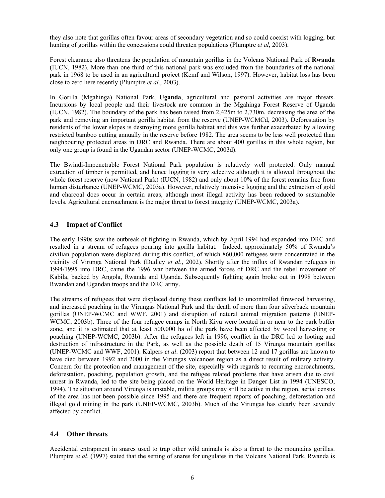they also note that gorillas often favour areas of secondary vegetation and so could coexist with logging, but hunting of gorillas within the concessions could threaten populations (Plumptre *et al*, 2003).

Forest clearance also threatens the population of mountain gorillas in the Volcans National Park of **Rwanda** (IUCN, 1982). More than one third of this national park was excluded from the boundaries of the national park in 1968 to be used in an agricultural project (Kemf and Wilson, 1997). However, habitat loss has been close to zero here recently (Plumptre *et al*., 2003).

In Gorilla (Mgahinga) National Park, **Uganda**, agricultural and pastoral activities are major threats. Incursions by local people and their livestock are common in the Mgahinga Forest Reserve of Uganda (IUCN, 1982). The boundary of the park has been raised from 2,425m to 2,730m, decreasing the area of the park and removing an important gorilla habitat from the reserve (UNEP-WCMCd, 2003). Deforestation by residents of the lower slopes is destroying more gorilla habitat and this was further exacerbated by allowing restricted bamboo cutting annually in the reserve before 1982. The area seems to be less well protected than neighbouring protected areas in DRC and Rwanda. There are about 400 gorillas in this whole region, but only one group is found in the Ugandan sector (UNEP-WCMC, 2003d).

The Bwindi-Impenetrable Forest National Park population is relatively well protected. Only manual extraction of timber is permitted, and hence logging is very selective although it is allowed throughout the whole forest reserve (now National Park) (IUCN, 1982) and only about 10% of the forest remains free from human disturbance (UNEP-WCMC, 2003a). However, relatively intensive logging and the extraction of gold and charcoal does occur in certain areas, although most illegal activity has been reduced to sustainable levels. Agricultural encroachment is the major threat to forest integrity (UNEP-WCMC, 2003a).

## **4.3 Impact of Conflict**

The early 1990s saw the outbreak of fighting in Rwanda, which by April 1994 had expanded into DRC and resulted in a stream of refugees pouring into gorilla habitat. Indeed, approximately 50% of Rwanda's civilian population were displaced during this conflict, of which 860,000 refugees were concentrated in the vicinity of Virunga National Park (Dudley *et al*., 2002). Shortly after the influx of Rwandan refugees in 1994/1995 into DRC, came the 1996 war between the armed forces of DRC and the rebel movement of Kabila, backed by Angola, Rwanda and Uganda. Subsequently fighting again broke out in 1998 between Rwandan and Ugandan troops and the DRC army.

The streams of refugees that were displaced during these conflicts led to uncontrolled firewood harvesting, and increased poaching in the Virungas National Park and the death of more than four silverback mountain gorillas (UNEP-WCMC and WWF, 2001) and disruption of natural animal migration patterns (UNEP-WCMC, 2003b). Three of the four refugee camps in North Kivu were located in or near to the park buffer zone, and it is estimated that at least 500,000 ha of the park have been affected by wood harvesting or poaching (UNEP-WCMC, 2003b). After the refugees left in 1996, conflict in the DRC led to looting and destruction of infrastructure in the Park, as well as the possible death of 15 Virunga mountain gorillas (UNEP-WCMC and WWF, 2001). Kalpers *et al*. (2003) report that between 12 and 17 gorillas are known to have died between 1992 and 2000 in the Virungas volcanoes region as a direct result of military activity. Concern for the protection and management of the site, especially with regards to recurring encroachments, deforestation, poaching, population growth, and the refugee related problems that have arisen due to civil unrest in Rwanda, led to the site being placed on the World Heritage in Danger List in 1994 (UNESCO, 1994). The situation around Virunga is unstable, militia groups may still be active in the region, aerial census of the area has not been possible since 1995 and there are frequent reports of poaching, deforestation and illegal gold mining in the park (UNEP-WCMC, 2003b). Much of the Virungas has clearly been severely affected by conflict.

## **4.4 Other threats**

Accidental entrapment in snares used to trap other wild animals is also a threat to the mountains gorillas. Plumptre *et al*. (1997) stated that the setting of snares for ungulates in the Volcans National Park, Rwanda is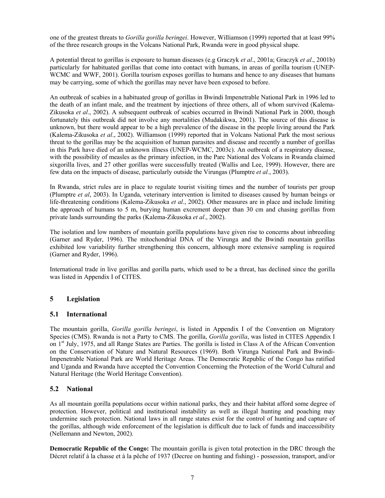one of the greatest threats to *Gorilla gorilla beringei*. However, Williamson (1999) reported that at least 99% of the three research groups in the Volcans National Park, Rwanda were in good physical shape.

A potential threat to gorillas is exposure to human diseases (e.g Graczyk *et al*., 2001a; Graczyk *et al*., 2001b) particularly for habituated gorillas that come into contact with humans, in areas of gorilla tourism (UNEP-WCMC and WWF, 2001). Gorilla tourism exposes gorillas to humans and hence to any diseases that humans may be carrying, some of which the gorillas may never have been exposed to before.

An outbreak of scabies in a habituated group of gorillas in Bwindi Impenetrable National Park in 1996 led to the death of an infant male, and the treatment by injections of three others, all of whom survived (Kalema-Zikusoka *et al*., 2002). A subsequent outbreak of scabies occurred in Bwindi National Park in 2000, though fortunately this outbreak did not involve any mortalities (Mudakikwa, 2001). The source of this disease is unknown, but there would appear to be a high prevalence of the disease in the people living around the Park (Kalema-Zikusoka *et al*., 2002). Williamson (1999) reported that in Volcans National Park the most serious threat to the gorillas may be the acquisition of human parasites and disease and recently a number of gorillas in this Park have died of an unknown illness (UNEP-WCMC, 2003c). An outbreak of a respiratory disease, with the possibility of measles as the primary infection, in the Parc National des Volcans in Rwanda claimed sixgorilla lives, and 27 other gorillas were successfully treated (Wallis and Lee, 1999). However, there are few data on the impacts of disease, particularly outside the Virungas (Plumptre *et al.*, 2003).

In Rwanda, strict rules are in place to regulate tourist visiting times and the number of tourists per group (Plumptre *et al*, 2003). In Uganda, veterinary intervention is limited to diseases caused by human beings or life-threatening conditions (Kalema-Zikusoka *et al*., 2002). Other measures are in place and include limiting the approach of humans to 5 m, burying human excrement deeper than 30 cm and chasing gorillas from private lands surrounding the parks (Kalema-Zikusoka *et al*., 2002).

The isolation and low numbers of mountain gorilla populations have given rise to concerns about inbreeding (Garner and Ryder, 1996). The mitochondrial DNA of the Virunga and the Bwindi mountain gorillas exhibited low variability further strengthening this concern, although more extensive sampling is required (Garner and Ryder, 1996).

International trade in live gorillas and gorilla parts, which used to be a threat, has declined since the gorilla was listed in Appendix I of CITES.

## **5 Legislation**

## **5.1 International**

The mountain gorilla, *Gorilla gorilla beringei*, is listed in Appendix I of the Convention on Migratory Species (CMS). Rwanda is not a Party to CMS. The gorilla, *Gorilla gorilla*, was listed in CITES Appendix I on 1st July, 1975, and all Range States are Parties. The gorilla is listed in Class A of the African Convention on the Conservation of Nature and Natural Resources (1969). Both Virunga National Park and Bwindi-Impenetrable National Park are World Heritage Areas. The Democratic Republic of the Congo has ratified and Uganda and Rwanda have accepted the Convention Concerning the Protection of the World Cultural and Natural Heritage (the World Heritage Convention).

## **5.2 National**

As all mountain gorilla populations occur within national parks, they and their habitat afford some degree of protection. However, political and institutional instability as well as illegal hunting and poaching may undermine such protection. National laws in all range states exist for the control of hunting and capture of the gorillas, although wide enforcement of the legislation is difficult due to lack of funds and inaccessibility (Nellemann and Newton, 2002).

**Democratic Republic of the Congo:** The mountain gorilla is given total protection in the DRC through the Décret relatif à la chasse et à la pêche of 1937 (Decree on hunting and fishing) - possession, transport, and/or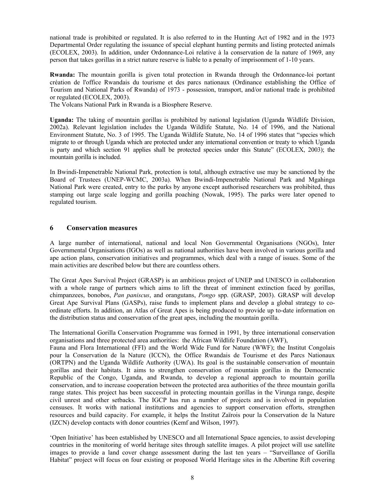national trade is prohibited or regulated. It is also referred to in the Hunting Act of 1982 and in the 1973 Departmental Order regulating the issuance of special elephant hunting permits and listing protected animals (ECOLEX, 2003). In addition, under Ordonnance-Loi relative à la conservation de la nature of 1969, any person that takes gorillas in a strict nature reserve is liable to a penalty of imprisonment of 1-10 years.

**Rwanda:** The mountain gorilla is given total protection in Rwanda through the Ordonnance-loi portant création de l'office Rwandais du tourisme et des parcs nationaux (Ordinance establishing the Office of Tourism and National Parks of Rwanda) of 1973 - possession, transport, and/or national trade is prohibited or regulated (ECOLEX, 2003).

The Volcans National Park in Rwanda is a Biosphere Reserve.

**Uganda:** The taking of mountain gorillas is prohibited by national legislation (Uganda Wildlife Division, 2002a). Relevant legislation includes the Uganda Wildlife Statute, No. 14 of 1996, and the National Environment Statute, No. 3 of 1995. The Uganda Wildlife Statute, No. 14 of 1996 states that "species which migrate to or through Uganda which are protected under any international convention or treaty to which Uganda is party and which section 91 applies shall be protected species under this Statute" (ECOLEX, 2003); the mountain gorilla is included.

In Bwindi-Impenetrable National Park, protection is total, although extractive use may be sanctioned by the Board of Trustees (UNEP-WCMC, 2003a). When Bwindi-Impenetrable National Park and Mgahinga National Park were created, entry to the parks by anyone except authorised researchers was prohibited, thus stamping out large scale logging and gorilla poaching (Nowak, 1995). The parks were later opened to regulated tourism.

## **6 Conservation measures**

A large number of international, national and local Non Governmental Organisations (NGOs), Inter Governmental Organisations (IGOs) as well as national authorities have been involved in various gorilla and ape action plans, conservation initiatives and programmes, which deal with a range of issues. Some of the main activities are described below but there are countless others.

The Great Apes Survival Project (GRASP) is an ambitious project of UNEP and UNESCO in collaboration with a whole range of partners which aims to lift the threat of imminent extinction faced by gorillas, chimpanzees, bonobos, *Pan paniscus*, and orangutans, *Pongo* spp. (GRASP, 2003). GRASP will develop Great Ape Survival Plans (GASPs), raise funds to implement plans and develop a global strategy to coordinate efforts. In addition, an Atlas of Great Apes is being produced to provide up to-date information on the distribution status and conservation of the great apes, including the mountain gorilla.

The International Gorilla Conservation Programme was formed in 1991, by three international conservation organisations and three protected area authorities: the African Wildlife Foundation (AWF),

Fauna and Flora International (FFI) and the World Wide Fund for Nature (WWF); the Institut Congolais pour la Conservation de la Nature (ICCN), the Office Rwandais de Tourisme et des Parcs Nationaux (ORTPN) and the Uganda Wildlife Authority (UWA). Its goal is the sustainable conservation of mountain gorillas and their habitats. It aims to strengthen conservation of mountain gorillas in the Democratic Republic of the Congo, Uganda, and Rwanda, to develop a regional approach to mountain gorilla conservation, and to increase cooperation between the protected area authorities of the three mountain gorilla range states. This project has been successful in protecting mountain gorillas in the Virunga range, despite civil unrest and other setbacks. The IGCP has run a number of projects and is involved in population censuses. It works with national institutions and agencies to support conservation efforts, strengthen resources and build capacity. For example, it helps the Institut Zaïrois pour la Conservation de la Nature (IZCN) develop contacts with donor countries (Kemf and Wilson, 1997).

'Open Initiative' has been established by UNESCO and all International Space agencies, to assist developing countries in the monitoring of world heritage sites through satellite images. A pilot project will use satellite images to provide a land cover change assessment during the last ten years – "Surveillance of Gorilla Habitat" project will focus on four existing or proposed World Heritage sites in the Albertine Rift covering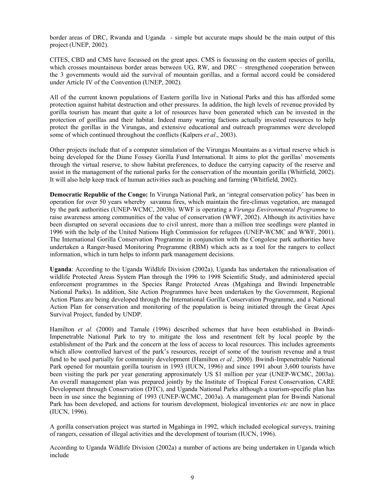border areas of DRC, Rwanda and Uganda - simple but accurate maps should be the main output of this project (UNEP, 2002).

CITES, CBD and CMS have focussed on the great apes. CMS is focussing on the eastern species of gorilla, which crosses mountainous border areas between UG, RW, and DRC – strengthened cooperation between the 3 governments would aid the survival of mountain gorillas, and a formal accord could be considered under Article IV of the Convention (UNEP, 2002).

All of the current known populations of Eastern gorilla live in National Parks and this has afforded some protection against habitat destruction and other pressures. In addition, the high levels of revenue provided by gorilla tourism has meant that quite a lot of resources have been generated which can be invested in the protection of gorillas and their habitat. Indeed many warring factions actually invested resources to help protect the gorillas in the Virungas, and extensive educational and outreach programmes were developed some of which continued throughout the conflicts (Kalpers *et al*., 2003).

Other projects include that of a computer simulation of the Virungas Mountains as a virtual reserve which is being developed for the Diane Fossey Gorilla Fund International. It aims to plot the gorillas' movements through the virtual reserve, to show habitat preferences, to deduce the carrying capacity of the reserve and assist in the management of the national parks for the conservation of the mountain gorilla (Whitfield, 2002). It will also help keep track of human activities such as poaching and farming (Whitfield, 2002).

**Democratic Republic of the Congo:** In Virunga National Park, an 'integral conservation policy' has been in operation for over 50 years whereby savanna fires, which maintain the fire-climax vegetation, are managed by the park authorities (UNEP-WCMC, 2003b). WWF is operating a *Virunga Environmental Programme* to raise awareness among communities of the value of conservation (WWF, 2002). Although its activities have been disrupted on several occasions due to civil unrest, more than a million tree seedlings were planted in 1996 with the help of the United Nations High Commission for refugees (UNEP-WCMC and WWF, 2001). The International Gorilla Conservation Programme in conjunction with the Congolese park authorities have undertaken a Ranger-based Monitoring Programme (RBM) which acts as a tool for the rangers to collect information, which in turn helps to inform park management decisions.

**Uganda**: According to the Uganda Wildlife Division (2002a), Uganda has undertaken the rationalisation of wildlife Protected Areas System Plan through the 1996 to 1998 Scientific Study, and administered special enforcement programmes in the Species Range Protected Areas (Mgahinga and Bwindi Impenetrable National Parks). In addition, Site Action Programmes have been undertaken by the Government, Regional Action Plans are being developed through the International Gorilla Conservation Programme, and a National Action Plan for conservation and monitoring of the population is being initiated through the Great Apes Survival Project, funded by UNDP.

Hamilton *et al.* (2000) and Tamale (1996) described schemes that have been established in Bwindi-Impenetrable National Park to try to mitigate the loss and resentment felt by local people by the establishment of the Park and the concern at the loss of access to local resources. This includes agreements which allow controlled harvest of the park's resources, receipt of some of the tourism revenue and a trust fund to be used partially for community development (Hamilton *et al.,* 2000). Bwindi-Impenetrable National Park opened for mountain gorilla tourism in 1993 (IUCN, 1996) and since 1991 about 3,600 tourists have been visiting the park per year generating approximately US \$1 million per year (UNEP-WCMC, 2003a). An overall management plan was prepared jointly by the Institute of Tropical Forest Conservation, CARE Development through Conservation (DTC), and Uganda National Parks although a tourism-specific plan has been in use since the beginning of 1993 (UNEP-WCMC, 2003a). A management plan for Bwindi National Park has been developed, and actions for tourism development, biological inventories *etc* are now in place (IUCN, 1996).

A gorilla conservation project was started in Mgahinga in 1992, which included ecological surveys, training of rangers, cessation of illegal activities and the development of tourism (IUCN, 1996).

According to Uganda Wildlife Division (2002a) a number of actions are being undertaken in Uganda which include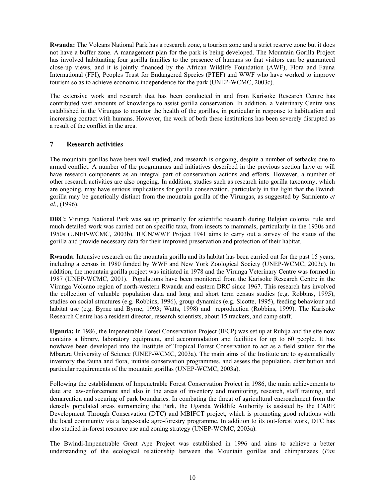**Rwanda:** The Volcans National Park has a research zone, a tourism zone and a strict reserve zone but it does not have a buffer zone. A management plan for the park is being developed. The Mountain Gorilla Project has involved habituating four gorilla families to the presence of humans so that visitors can be guaranteed close-up views, and it is jointly financed by the African Wildlife Foundation (AWF), Flora and Fauna International (FFI), Peoples Trust for Endangered Species (PTEF) and WWF who have worked to improve tourism so as to achieve economic independence for the park (UNEP-WCMC, 2003c).

The extensive work and research that has been conducted in and from Karisoke Research Centre has contributed vast amounts of knowledge to assist gorilla conservation. In addition, a Veterinary Centre was established in the Virungas to monitor the health of the gorillas, in particular in response to habituation and increasing contact with humans. However, the work of both these institutions has been severely disrupted as a result of the conflict in the area.

#### **7 Research activities**

The mountain gorillas have been well studied, and research is ongoing, despite a number of setbacks due to armed conflict. A number of the programmes and initiatives described in the previous section have or will have research components as an integral part of conservation actions and efforts. However, a number of other research activities are also ongoing. In addition, studies such as research into gorilla taxonomy, which are ongoing, may have serious implications for gorilla conservation, particularly in the light that the Bwindi gorilla may be genetically distinct from the mountain gorilla of the Virungas, as suggested by Sarmiento *et al*., (1996).

**DRC:** Virunga National Park was set up primarily for scientific research during Belgian colonial rule and much detailed work was carried out on specific taxa, from insects to mammals, particularly in the 1930s and 1950s (UNEP-WCMC, 2003b). IUCN/WWF Project 1941 aims to carry out a survey of the status of the gorilla and provide necessary data for their improved preservation and protection of their habitat.

**Rwanda**: Intensive research on the mountain gorilla and its habitat has been carried out for the past 15 years, including a census in 1980 funded by WWF and New York Zoological Society (UNEP-WCMC, 2003c). In addition, the mountain gorilla project was initiated in 1978 and the Virunga Veterinary Centre was formed in 1987 (UNEP-WCMC, 2001). Populations have been monitored from the Karisoke Research Centre in the Virunga Volcano region of north-western Rwanda and eastern DRC since 1967. This research has involved the collection of valuable population data and long and short term census studies (e.g. Robbins, 1995), studies on social structures (e.g. Robbins, 1996), group dynamics (e.g. Sicotte, 1995), feeding behaviour and habitat use (e.g. Byrne and Byrne, 1993; Watts, 1998) and reproduction (Robbins, 1999). The Karisoke Research Centre has a resident director, research scientists, about 15 trackers, and camp staff.

**Uganda:** In 1986, the Impenetrable Forest Conservation Project (IFCP) was set up at Ruhija and the site now contains a library, laboratory equipment, and accommodation and facilities for up to 60 people. It has nowhave been developed into the Institute of Tropical Forest Conservation to act as a field station for the Mbarara University of Science (UNEP-WCMC, 2003a). The main aims of the Institute are to systematically inventory the fauna and flora, initiate conservation programmes, and assess the population, distribution and particular requirements of the mountain gorillas (UNEP-WCMC, 2003a).

Following the establishment of Impenetrable Forest Conservation Project in 1986, the main achievements to date are law-enforcement and also in the areas of inventory and monitoring, research, staff training, and demarcation and securing of park boundaries. In combating the threat of agricultural encroachment from the densely populated areas surrounding the Park, the Uganda Wildlife Authority is assisted by the CARE Development Through Conservation (DTC) and MBIFCT project, which is promoting good relations with the local community via a large-scale agro-forestry programme. In addition to its out-forest work, DTC has also studied in-forest resource use and zoning strategy (UNEP-WCMC, 2003a).

The Bwindi-Impenetrable Great Ape Project was established in 1996 and aims to achieve a better understanding of the ecological relationship between the Mountain gorillas and chimpanzees (*Pan*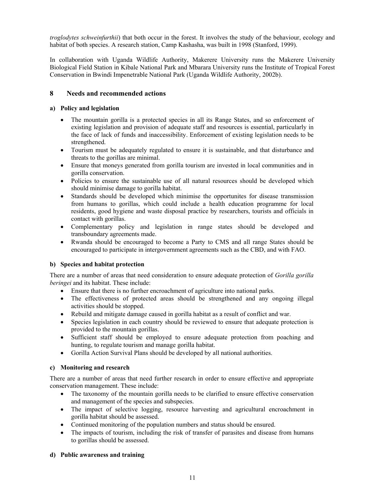*troglodytes schweinfurthii*) that both occur in the forest. It involves the study of the behaviour, ecology and habitat of both species. A research station, Camp Kashasha, was built in 1998 (Stanford, 1999).

In collaboration with Uganda Wildlife Authority, Makerere University runs the Makerere University Biological Field Station in Kibale National Park and Mbarara University runs the Institute of Tropical Forest Conservation in Bwindi Impenetrable National Park (Uganda Wildlife Authority, 2002b).

## **8 Needs and recommended actions**

#### **a) Policy and legislation**

- The mountain gorilla is a protected species in all its Range States, and so enforcement of existing legislation and provision of adequate staff and resources is essential, particularly in the face of lack of funds and inaccessibility. Enforcement of existing legislation needs to be strengthened.
- Tourism must be adequately regulated to ensure it is sustainable, and that disturbance and threats to the gorillas are minimal.
- Ensure that moneys generated from gorilla tourism are invested in local communities and in gorilla conservation.
- Policies to ensure the sustainable use of all natural resources should be developed which should minimise damage to gorilla habitat.
- Standards should be developed which minimise the opportunites for disease transmission from humans to gorillas, which could include a health education programme for local residents, good hygiene and waste disposal practice by researchers, tourists and officials in contact with gorillas.
- Complementary policy and legislation in range states should be developed and transboundary agreements made.
- Rwanda should be encouraged to become a Party to CMS and all range States should be encouraged to participate in intergovernment agreements such as the CBD, and with FAO.

## **b) Species and habitat protection**

There are a number of areas that need consideration to ensure adequate protection of *Gorilla gorilla beringei* and its habitat. These include:

- Ensure that there is no further encroachment of agriculture into national parks.
- The effectiveness of protected areas should be strengthened and any ongoing illegal activities should be stopped.
- Rebuild and mitigate damage caused in gorilla habitat as a result of conflict and war.
- Species legislation in each country should be reviewed to ensure that adequate protection is provided to the mountain gorillas.
- Sufficient staff should be employed to ensure adequate protection from poaching and hunting, to regulate tourism and manage gorilla habitat.
- Gorilla Action Survival Plans should be developed by all national authorities.

## **c) Monitoring and research**

There are a number of areas that need further research in order to ensure effective and appropriate conservation management. These include:

- The taxonomy of the mountain gorilla needs to be clarified to ensure effective conservation and management of the species and subspecies.
- The impact of selective logging, resource harvesting and agricultural encroachment in gorilla habitat should be assessed.
- Continued monitoring of the population numbers and status should be ensured.
- The impacts of tourism, including the risk of transfer of parasites and disease from humans to gorillas should be assessed.

#### **d) Public awareness and training**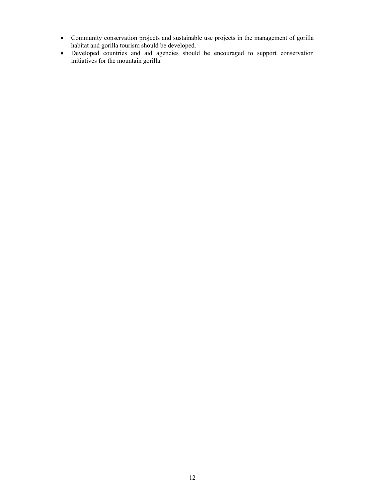- Community conservation projects and sustainable use projects in the management of gorilla habitat and gorilla tourism should be developed.
- Developed countries and aid agencies should be encouraged to support conservation initiatives for the mountain gorilla.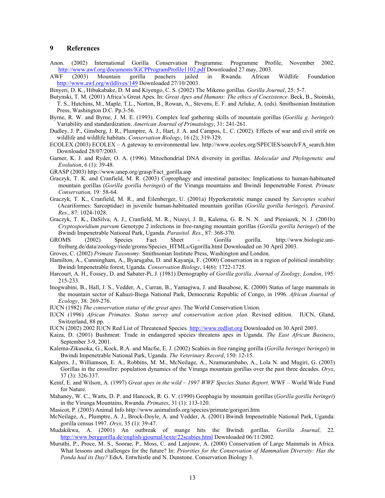#### **9 References**

Anon. (2002) International Gorilla Conservation Programme. Programme Profile, November 2002. http://www.awf.org/documents/IGCPProgramProfile1102.pdf Downloaded 27 may, 2003.

AWF (2003) Mountain gorilla poachers jailed in Rwanda. African Wildlife Foundation http://www.awf.org/wildlives/149 Downloaded 27/10/2003.

Binyeri, D. K., Hibukabake, D. M and Kiyengo, C. S. (2002) The Mikeno gorillas. *Gorilla Journal*, 25: 5-7.

- Butynski, T. M. (2001) Africa's Great Apes. In: *Great Apes and Humans: The ethics of Coexistence*. Beck, B., Stoinski, T. S., Hutchins, M., Maple, T.L., Norton, B., Rowan, A., Stevens, E. F. and Arluke, A. (eds). Smithsonian Institution Press, Washington D.C. Pp.3-56.
- Byrne, R. W. and Byrne, J. M. E. (1993). Complex leaf gathering skills of mountain gorillas (*Gorilla g. beringei*): Variability and standardization. *American Journal of Primatology*, 31: 241-261.
- Dudley, J. P., Ginsberg, J. R., Plumptre, A. J., Hart, J. A. and Campos, L. C. (2002). Effects of war and civil strife on wildlife and wildlife habitats. *Conservation Biology*, 16 (2); 319-329.
- ECOLEX (2003) ECOLEX A gateway to environmental law. http://www.ecolex.org/SPECIES/search/FA\_search.htm Downloaded 28/07/2003.
- Garner, K. J. and Ryder, O. A. (1996). Mitochondrial DNA diversity in gorillas. *Molecular and Phylogenetic and Evolution*, 6 (1): 39-48.
- GRASP (2003) http://www.unep.org/grasp/Fact\_gorilla.asp
- Graczyk, T. K. and Cranfield, M. R. (2003) Coprophagy and intestinal parasites: Implications to human-habituated mountain gorillas (*Gorilla gorilla beringei*) of the Virunga mountains and Bwindi Impenetrable Forest. *Primate Conservation,* 19*:* 58-64.
- Graczyk, T. K., Cranfield, M. R., and Eilenberger, U. (2001a) Hyperkeratotic mange caused by *Sarcoptes scabiei* (Acariformes: Sarcoptidae) in juvenile human-habituated mountain gorillas (*Gorilla gorilla beringei*). *Parasitol. Res.*, 87: 1024-1028.
- Graczyk, T. K., DaSilva, A. J., Cranfield, M. R., Nizeyi, J. B., Kalema, G. R. N. N. and Pieniazek, N. J. (2001b) *Cryptosporidium parvum* Genotype 2 infections in free-ranging mountain gorillas (*Gorilla gorilla beringei*) of the Bwindi Impenetrable National Park, Uganda. *Parasitol. Res.*, 87: 368-370.
- GROMS (2002) Species Fact Sheet Gorilla gorilla. http://www.biologie.unifreiburg.de/data/zoology/riede/groms/Species\_HTMLs/Ggorilla.html Downloaded on 30 April 2003.
- Groves, C. (2002) *Primate Taxonomy.* Smithsonian Institute Press, Washington and London.
- Hamilton, A., Cunningham, A., Byarugaba, D. and Kayanja, F. (2000) Conservation in a region of political instability: Bwindi Impenetrable forest, Uganda. *Conservation Biology*, 14(6): 1722-1725.
- Harcourt, A. H., Fossey, D. and Sabater-Pi, J. (1981) Demography of *Gorilla gorilla*. *Journal of Zoology, London*, 195: 215-233.
- Inogwabini, B., Hall, J. S., Vedder, A., Curran, B., Yamagiwa, J. and Basabose, K. (2000) Status of large mammals in the mountain sector of Kahuzi-Biega National Park, Democratic Republic of Congo, in 1996. *African Journal of Ecology*, 38: 269-276.
- IUCN (1982) *The conservation status of the great apes*. The World Conservation Union.
- IUCN (1996) *African Primates. Status survey and conservation action plan.* Revised edition. IUCN, Gland, Switzerland, 88 pp.
- IUCN (2002) 2002 IUCN Red List of Threatened Species*.* http://www.redlist.org Downloaded on 30 April 2003.
- Kaiza, D. (2001) Bushmeat: Trade in endangered species threatens apes in Uganda. *The East African Business*, September 3-9, 2001.
- Kalema-Zikusoka, G., Kock, R.A. and Macfie, E. J. (2002) Scabies in free ranging gorilla (*Gorilla beringei beringei*) in Bwindi Impenetrable National Park, Uganda. *The Veterinary Record*, 150: 12-15.
- Kalpers, J., Williamson, E. A., Robbins, M. M., McNeilage, A., Nzamurambaho, A., Lola N. and Mugiri, G. (2003) Gorillas in the crossfire: population dynamics of the Virunga mountain gorillas over the past three decades. *Oryx*, 37 (3): 326-337.
- Kemf, E. and Wilson, A. (1997) *Great apes in the wild 1997 WWF Species Status Report.* WWF World Wide Fund for Nature.
- Mahaney, W. C., Watts, D. P. and Hancock, R. G. V. (1990) Geophagia by mountain gorillas (*Gorilla gorilla beringei*) in the Virunga Mountains, Rwanda. *Primates*, 31 (1): 113-120.
- Masicot, P. (2003) Animal Info http://www.animalinfo.org/species/primate/gorigori.htm
- McNeilage, A., Plumptre, A. J., Brock-Doyle, A. and Vedder, A. (2001) Bwindi Impenetrable National Park, Uganda: gorilla census 1997. *Oryx*, 35 (1): 39-47.
- Mudakikwa, A. (2001) An outbreak of mange hits the Bwindi gorillas. *Gorilla Journal*, 22. http://www.berggorilla.de/english/gjournal/texte/22scabies.html Downloaded 06/11/2002.
- Muruthi, P., Proce, M. S., Soorae, P., Moss, C. and Lanjouw, A. (2000) Conservation of Large Mammals in Africa. What lessons and challenges for the future? In: *Priorities for the Conservation of Mammalian Diversity: Has the Panda had its Day?* EdsA. Entwhistle and N. Dunstone. Conservation Biology 3.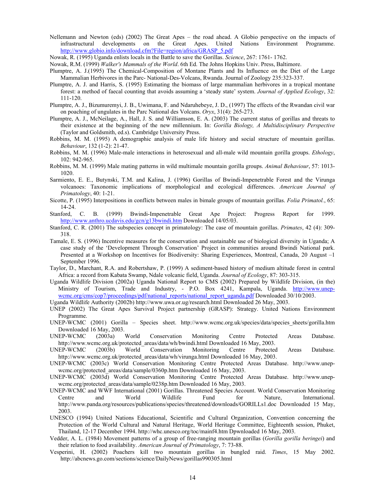- Nellemann and Newton (eds) (2002) The Great Apes the road ahead. A Globio perspective on the impacts of infrastructural developments on the Great Apes. United Nations Environment Programme. http://www.globio.info/download.cfm?File=region/africa/GRASP\_5.pdf
- Nowak, R. (1995) Uganda enlists locals in the Battle to save the Gorillas. *Science*, 267: 1761- 1762.
- Nowak, R.M. (1999) *Walker's Mammals of the World*. 6th Ed. The Johns Hopkins Univ. Press, Baltimore.
- Plumptre, A. J.(1995) The Chemical-Composition of Montane Plants and Its Influence on the Diet of the Large Mammalian Herbivores in the Parc- National-Des-Volcans, Rwanda. Journal of Zoology 235:323-337.
- Plumptre, A. J. and Harris, S. (1995) Estimating the biomass of large mammalian herbivores in a tropical montane forest: a method of faecal counting that avoids assuming a 'steady state' system. *Journal of Applied Ecology*, 32: 111-120.
- Plumptre, A. J., Bizumuremyi, J. B., Uwimana, F. and Ndaruhebeye, J. D., (1997) The effects of the Rwandan civil war on poaching of ungulates in the Parc National des Volcans. *Oryx*, 31(4): 265-273.
- Plumptre, A. J., McNeilage, A., Hall, J. S. and Williamson, E. A. (2003) The current status of gorillas and threats to their existence at the beginning of the new millennium. In: *Gorilla Biology, A Multidisciplinary Perspective* (Taylor and Goldsmith, ed.s). Cambridge University Press.
- Robbins, M. M. (1995) A demographic analysis of male life history and social structure of mountain gorillas. *Behaviour*, 132 (1-2): 21-47.
- Robbins, M. M. (1996) Male-male interactions in heterosexual and all-male wild mountain gorilla groups. *Ethology*, 102: 942-965.
- Robbins, M. M. (1999) Male mating patterns in wild multimale mountain gorilla groups. *Animal Behaviour*, 57: 1013- 1020.
- Sarmiento, E. E., Butynski, T.M. and Kalina, J. (1996) Gorillas of Bwindi-Impenetrable Forest and the Virunga volcanoes: Taxonomic implications of morphological and ecological differences. *American Journal of Primatology*, 40: 1-21.
- Sicotte, P. (1995) Interpositions in conflicts between males in bimale groups of mountain gorillas. *Folia Primatol.*, 65: 14-24.
- Stanford, C. B. (1999) Bwindi-Impenetrable Great Ape Project: Progress Report for 1999. http://www.anthro.ucdavis.edu/gcn/g13bwindi.htm Downloaded 14/05/03.
- Stanford, C. R. (2001) The subspecies concept in primatology: The case of mountain gorillas. *Primates*, 42 (4): 309- 318.
- Tamale, E. S. (1996) Incentive measures for the conservation and sustainable use of biological diversity in Uganda; A case study of the 'Development Through Conservation' Project in communities around Bwindi National park. Presented at a Workshop on Incentives for Biodiversity: Sharing Experiences, Montreal, Canada, 20 August –1 September 1996.
- Taylor, D., Marchant, R.A. and Robertshaw, P. (1999) A sediment-based history of medium altitude forest in central Africa: a record from Kabata Swamp, Ndale volcanic field, Uganda. *Journal of Ecology*, 87: 303-315.
- Uganda Wildlife Division (2002a) Uganda National Report to CMS (2002) Prepared by Wildlife Division, (in the) Ministry of Tourism, Trade and Industry, - P.O. Box 4241, Kampala, Uganda. http://www.unepwcmc.org/cms/cop7/proceedings/pdf/national\_reports/national\_report\_uganda.pdf Downloaded 30/10/2003.
- Uganda Wildlife Authority (2002b) http://www.uwa.or.ug/research.html Downloaded 26 May, 2003.
- UNEP (2002) The Great Apes Survival Project partnership (GRASP): Strategy. United Nations Environment Programme.
- UNEP-WCMC (2001) Gorilla Species sheet. http://www.wcmc.org.uk/species/data/species sheets/gorilla.htm Downloaded 16 May, 2003.
- UNEP-WCMC (2003a) World Conservation Monitoring Centre Protected Areas Database. http://www.wcmc.org.uk/protected\_areas/data/wh/bwindi.html Downloaded 16 May, 2003.
- UNEP-WCMC (2003b) World Conservation Monitoring Centre Protected Areas Database. http://www.wcmc.org.uk/protected\_areas/data/wh/virunga.html Downloaded 16 May, 2003.
- UNEP-WCMC (2003c) World Conservation Monitoring Centre Protected Areas Database. http://www.unepwcmc.org/protected\_areas/data/sample/0360p.htm Downloaded 16 May, 2003.
- UNEP-WCMC (2003d) World Conservation Monitoring Centre Protected Areas Database. http://www.unepwcmc.org/protected\_areas/data/sample/0238p.htm Downloaded 16 May, 2003.
- UNEP-WCMC and WWF International (2001) Gorillas. Threatened Species Account. World Conservation Monitoring Centre and World Wildlife Fund for Nature, International. http://www.panda.org/resources/publications/species/threatened/downloads/GORILLs1.doc Downloaded 15 May, 2003.
- UNESCO (1994) United Nations Educational, Scientific and Cultural Organization, Convention concerning the Protection of the World Cultural and Natural Heritage, World Heritage Committee, Eighteenth session, Phuket, Thailand, 12-17 December 1994. http://whc.unesco.org/toc/mainf4.htm Dpwnloaded 16 May, 2003.
- Vedder, A. L. (1984) Movement patterns of a group of free-ranging mountain gorillas (*Gorilla gorilla beringei*) and their relation to food availability. *American Journal of Primatology*, 7: 73-88.
- Vesperini, H. (2002) Poachers kill two mountain gorillas in bungled raid. *Times*, 15 May 2002. http://abcnews.go.com/sections/science/DailyNews/gorillas990305.html